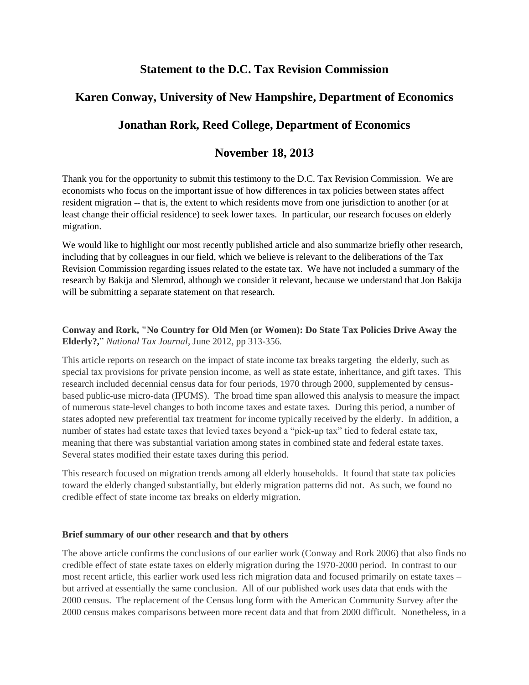# **Statement to the D.C. Tax Revision Commission**

# **Karen Conway, University of New Hampshire, Department of Economics**

# **Jonathan Rork, Reed College, Department of Economics**

## **November 18, 2013**

Thank you for the opportunity to submit this testimony to the D.C. Tax Revision Commission. We are economists who focus on the important issue of how differences in tax policies between states affect resident migration -- that is, the extent to which residents move from one jurisdiction to another (or at least change their official residence) to seek lower taxes. In particular, our research focuses on elderly migration.

We would like to highlight our most recently published article and also summarize briefly other research, including that by colleagues in our field, which we believe is relevant to the deliberations of the Tax Revision Commission regarding issues related to the estate tax. We have not included a summary of the research by Bakija and Slemrod, although we consider it relevant, because we understand that Jon Bakija will be submitting a separate statement on that research.

### **Conway and Rork, "No Country for Old Men (or Women): Do State Tax Policies Drive Away the Elderly?,**" *National Tax Journal,* June 2012, pp 313-356*.*

This article reports on research on the impact of state income tax breaks targeting the elderly, such as special tax provisions for private pension income, as well as state estate, inheritance, and gift taxes. This research included decennial census data for four periods, 1970 through 2000, supplemented by censusbased public-use micro-data (IPUMS). The broad time span allowed this analysis to measure the impact of numerous state-level changes to both income taxes and estate taxes. During this period, a number of states adopted new preferential tax treatment for income typically received by the elderly. In addition, a number of states had estate taxes that levied taxes beyond a "pick-up tax" tied to federal estate tax, meaning that there was substantial variation among states in combined state and federal estate taxes. Several states modified their estate taxes during this period.

This research focused on migration trends among all elderly households. It found that state tax policies toward the elderly changed substantially, but elderly migration patterns did not. As such, we found no credible effect of state income tax breaks on elderly migration.

### **Brief summary of our other research and that by others**

The above article confirms the conclusions of our earlier work (Conway and Rork 2006) that also finds no credible effect of state estate taxes on elderly migration during the 1970-2000 period. In contrast to our most recent article, this earlier work used less rich migration data and focused primarily on estate taxes – but arrived at essentially the same conclusion. All of our published work uses data that ends with the 2000 census. The replacement of the Census long form with the American Community Survey after the 2000 census makes comparisons between more recent data and that from 2000 difficult. Nonetheless, in a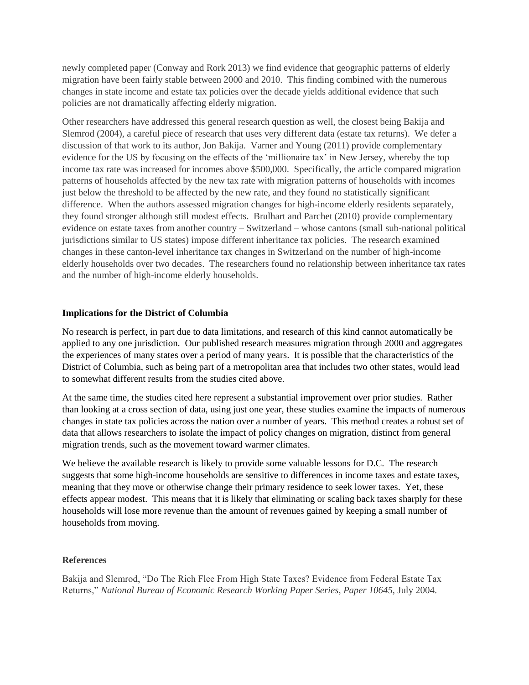newly completed paper (Conway and Rork 2013) we find evidence that geographic patterns of elderly migration have been fairly stable between 2000 and 2010. This finding combined with the numerous changes in state income and estate tax policies over the decade yields additional evidence that such policies are not dramatically affecting elderly migration.

Other researchers have addressed this general research question as well, the closest being Bakija and Slemrod (2004), a careful piece of research that uses very different data (estate tax returns). We defer a discussion of that work to its author, Jon Bakija. Varner and Young (2011) provide complementary evidence for the US by focusing on the effects of the 'millionaire tax' in New Jersey, whereby the top income tax rate was increased for incomes above \$500,000. Specifically, the article compared migration patterns of households affected by the new tax rate with migration patterns of households with incomes just below the threshold to be affected by the new rate, and they found no statistically significant difference. When the authors assessed migration changes for high-income elderly residents separately, they found stronger although still modest effects. Brulhart and Parchet (2010) provide complementary evidence on estate taxes from another country – Switzerland – whose cantons (small sub-national political jurisdictions similar to US states) impose different inheritance tax policies. The research examined changes in these canton-level inheritance tax changes in Switzerland on the number of high-income elderly households over two decades. The researchers found no relationship between inheritance tax rates and the number of high-income elderly households.

### **Implications for the District of Columbia**

No research is perfect, in part due to data limitations, and research of this kind cannot automatically be applied to any one jurisdiction. Our published research measures migration through 2000 and aggregates the experiences of many states over a period of many years. It is possible that the characteristics of the District of Columbia, such as being part of a metropolitan area that includes two other states, would lead to somewhat different results from the studies cited above.

At the same time, the studies cited here represent a substantial improvement over prior studies. Rather than looking at a cross section of data, using just one year, these studies examine the impacts of numerous changes in state tax policies across the nation over a number of years. This method creates a robust set of data that allows researchers to isolate the impact of policy changes on migration, distinct from general migration trends, such as the movement toward warmer climates.

We believe the available research is likely to provide some valuable lessons for D.C. The research suggests that some high-income households are sensitive to differences in income taxes and estate taxes, meaning that they move or otherwise change their primary residence to seek lower taxes. Yet, these effects appear modest. This means that it is likely that eliminating or scaling back taxes sharply for these households will lose more revenue than the amount of revenues gained by keeping a small number of households from moving.

### **References**

Bakija and Slemrod, "Do The Rich Flee From High State Taxes? Evidence from Federal Estate Tax Returns," *National Bureau of Economic Research Working Paper Series, Paper 10645,* July 2004.